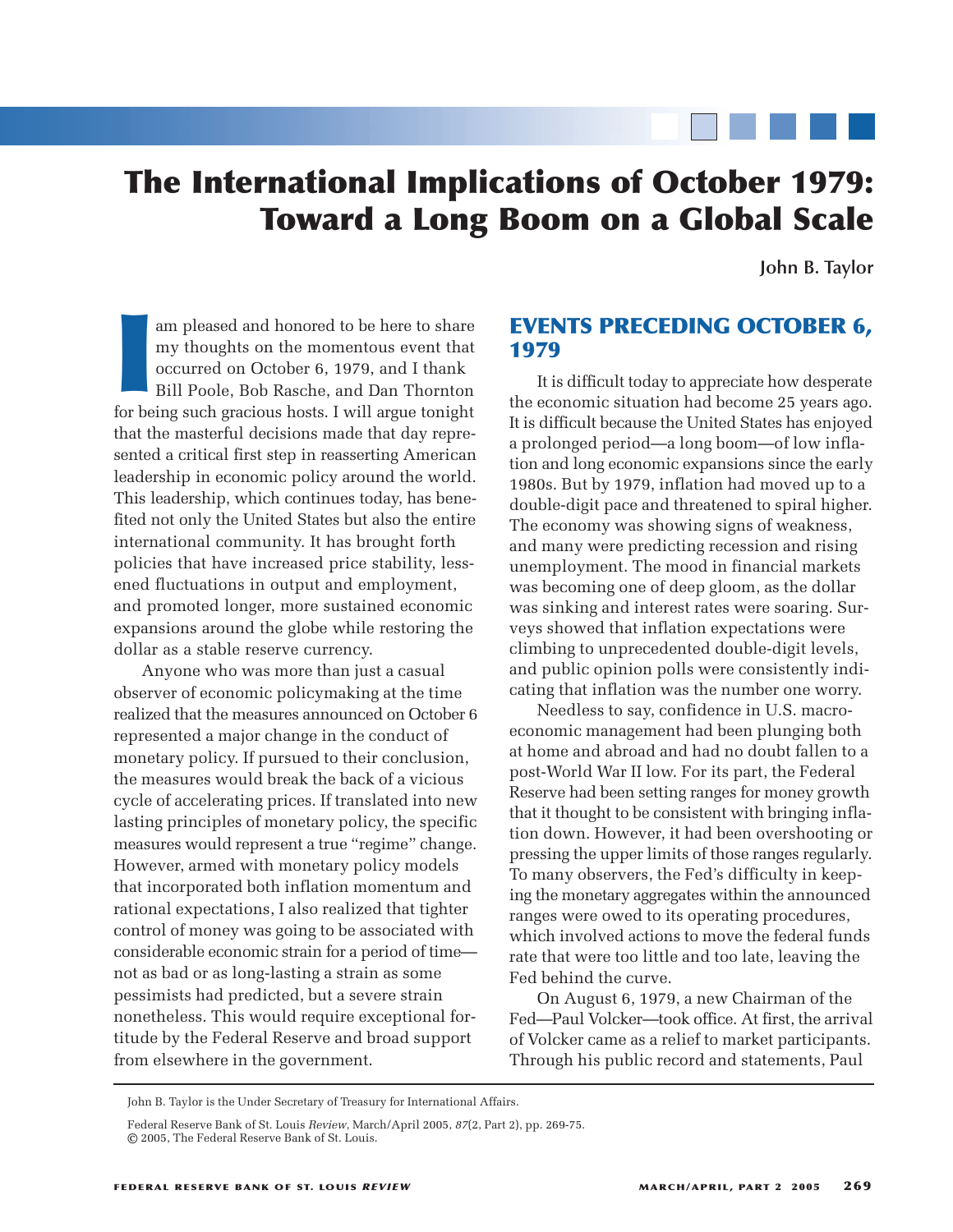# **The International Implications of October 1979: Toward a Long Boom on a Global Scale**

**John B. Taylor**

Im pleased and honored to be here to share<br>
my thoughts on the momentous event that<br>
occurred on October 6, 1979, and I thank<br>
Bill Poole, Bob Rasche, and Dan Thornton<br>
for being such gracious hosts. I will argue tonight am pleased and honored to be here to share my thoughts on the momentous event that occurred on October 6, 1979, and I thank Bill Poole, Bob Rasche, and Dan Thornton that the masterful decisions made that day represented a critical first step in reasserting American leadership in economic policy around the world. This leadership, which continues today, has benefited not only the United States but also the entire international community. It has brought forth policies that have increased price stability, lessened fluctuations in output and employment, and promoted longer, more sustained economic expansions around the globe while restoring the dollar as a stable reserve currency.

Anyone who was more than just a casual observer of economic policymaking at the time realized that the measures announced on October 6 represented a major change in the conduct of monetary policy. If pursued to their conclusion, the measures would break the back of a vicious cycle of accelerating prices. If translated into new lasting principles of monetary policy, the specific measures would represent a true "regime" change. However, armed with monetary policy models that incorporated both inflation momentum and rational expectations, I also realized that tighter control of money was going to be associated with considerable economic strain for a period of time not as bad or as long-lasting a strain as some pessimists had predicted, but a severe strain nonetheless. This would require exceptional fortitude by the Federal Reserve and broad support from elsewhere in the government.

# **EVENTS PRECEDING OCTOBER 6, 1979**

It is difficult today to appreciate how desperate the economic situation had become 25 years ago. It is difficult because the United States has enjoyed a prolonged period—a long boom—of low inflation and long economic expansions since the early 1980s. But by 1979, inflation had moved up to a double-digit pace and threatened to spiral higher. The economy was showing signs of weakness, and many were predicting recession and rising unemployment. The mood in financial markets was becoming one of deep gloom, as the dollar was sinking and interest rates were soaring. Surveys showed that inflation expectations were climbing to unprecedented double-digit levels, and public opinion polls were consistently indicating that inflation was the number one worry.

Needless to say, confidence in U.S. macroeconomic management had been plunging both at home and abroad and had no doubt fallen to a post-World War II low. For its part, the Federal Reserve had been setting ranges for money growth that it thought to be consistent with bringing inflation down. However, it had been overshooting or pressing the upper limits of those ranges regularly. To many observers, the Fed's difficulty in keeping the monetary aggregates within the announced ranges were owed to its operating procedures, which involved actions to move the federal funds rate that were too little and too late, leaving the Fed behind the curve.

On August 6, 1979, a new Chairman of the Fed—Paul Volcker—took office. At first, the arrival of Volcker came as a relief to market participants. Through his public record and statements, Paul

John B. Taylor is the Under Secretary of Treasury for International Affairs.

Federal Reserve Bank of St. Louis *Review*, March/April 2005, *87*(2, Part 2), pp. 269-75. © 2005, The Federal Reserve Bank of St. Louis.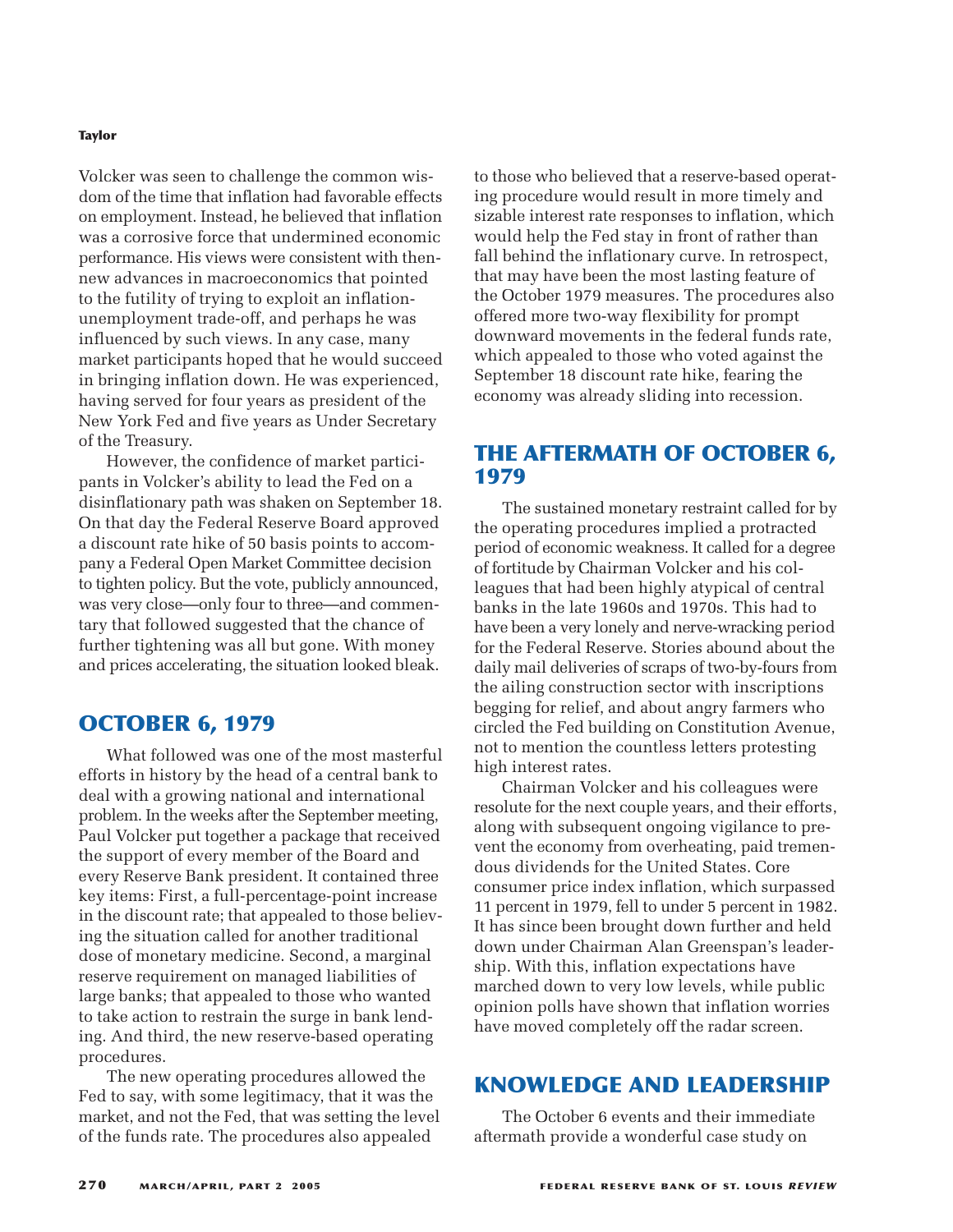#### **Taylor**

Volcker was seen to challenge the common wisdom of the time that inflation had favorable effects on employment. Instead, he believed that inflation was a corrosive force that undermined economic performance. His views were consistent with thennew advances in macroeconomics that pointed to the futility of trying to exploit an inflationunemployment trade-off, and perhaps he was influenced by such views. In any case, many market participants hoped that he would succeed in bringing inflation down. He was experienced, having served for four years as president of the New York Fed and five years as Under Secretary of the Treasury.

However, the confidence of market participants in Volcker's ability to lead the Fed on a disinflationary path was shaken on September 18. On that day the Federal Reserve Board approved a discount rate hike of 50 basis points to accompany a Federal Open Market Committee decision to tighten policy. But the vote, publicly announced, was very close—only four to three—and commentary that followed suggested that the chance of further tightening was all but gone. With money and prices accelerating, the situation looked bleak.

## **OCTOBER 6, 1979**

What followed was one of the most masterful efforts in history by the head of a central bank to deal with a growing national and international problem. In the weeks after the September meeting, Paul Volcker put together a package that received the support of every member of the Board and every Reserve Bank president. It contained three key items: First, a full-percentage-point increase in the discount rate; that appealed to those believing the situation called for another traditional dose of monetary medicine. Second, a marginal reserve requirement on managed liabilities of large banks; that appealed to those who wanted to take action to restrain the surge in bank lending. And third, the new reserve-based operating procedures.

The new operating procedures allowed the Fed to say, with some legitimacy, that it was the market, and not the Fed, that was setting the level of the funds rate. The procedures also appealed

to those who believed that a reserve-based operating procedure would result in more timely and sizable interest rate responses to inflation, which would help the Fed stay in front of rather than fall behind the inflationary curve. In retrospect, that may have been the most lasting feature of the October 1979 measures. The procedures also offered more two-way flexibility for prompt downward movements in the federal funds rate, which appealed to those who voted against the September 18 discount rate hike, fearing the economy was already sliding into recession.

# **THE AFTERMATH OF OCTOBER 6, 1979**

The sustained monetary restraint called for by the operating procedures implied a protracted period of economic weakness. It called for a degree of fortitude by Chairman Volcker and his colleagues that had been highly atypical of central banks in the late 1960s and 1970s. This had to have been a very lonely and nerve-wracking period for the Federal Reserve. Stories abound about the daily mail deliveries of scraps of two-by-fours from the ailing construction sector with inscriptions begging for relief, and about angry farmers who circled the Fed building on Constitution Avenue, not to mention the countless letters protesting high interest rates.

Chairman Volcker and his colleagues were resolute for the next couple years, and their efforts, along with subsequent ongoing vigilance to prevent the economy from overheating, paid tremendous dividends for the United States. Core consumer price index inflation, which surpassed 11 percent in 1979, fell to under 5 percent in 1982. It has since been brought down further and held down under Chairman Alan Greenspan's leadership. With this, inflation expectations have marched down to very low levels, while public opinion polls have shown that inflation worries have moved completely off the radar screen.

# **KNOWLEDGE AND LEADERSHIP**

The October 6 events and their immediate aftermath provide a wonderful case study on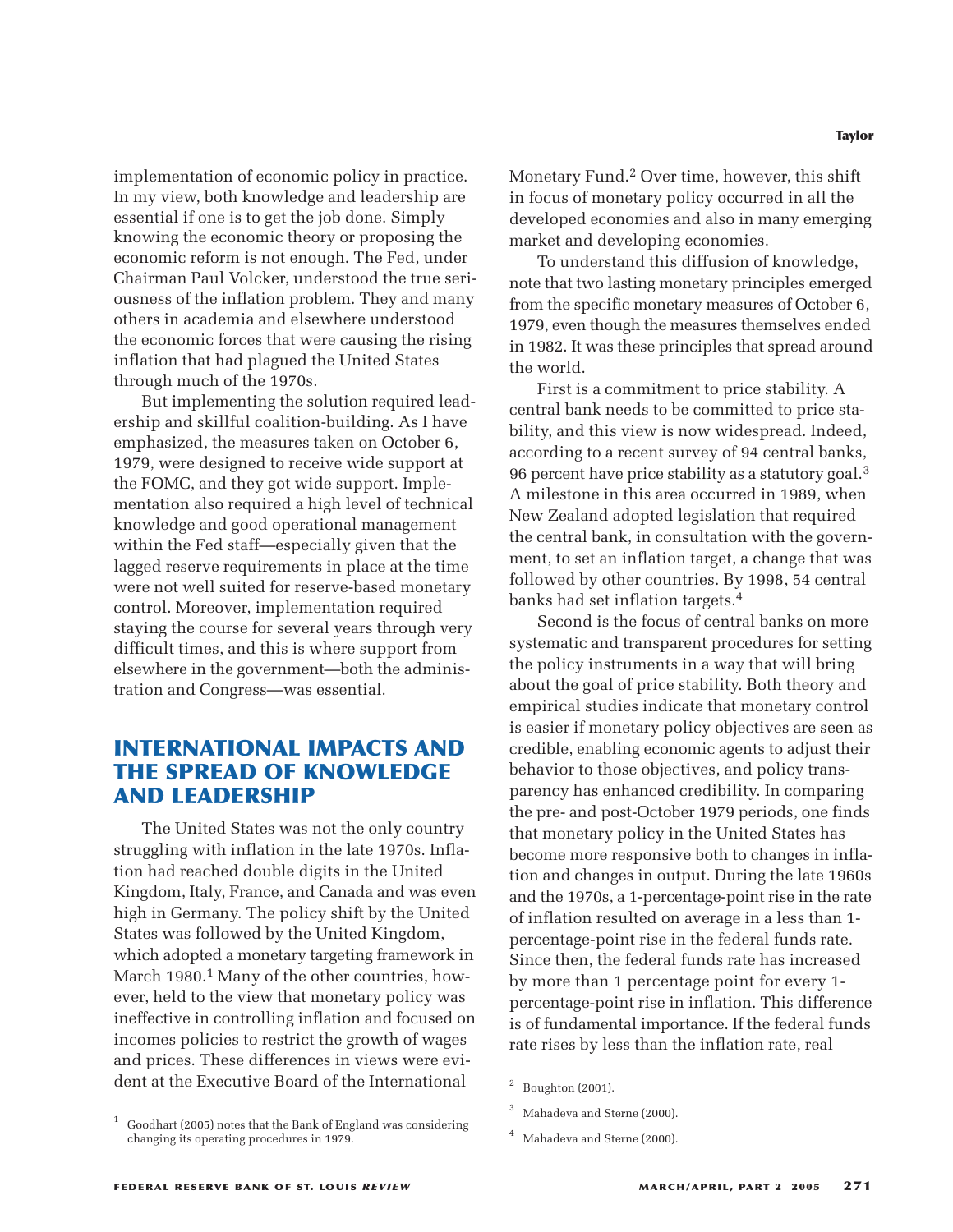implementation of economic policy in practice. In my view, both knowledge and leadership are essential if one is to get the job done. Simply knowing the economic theory or proposing the economic reform is not enough. The Fed, under Chairman Paul Volcker, understood the true seriousness of the inflation problem. They and many others in academia and elsewhere understood the economic forces that were causing the rising inflation that had plagued the United States through much of the 1970s.

But implementing the solution required leadership and skillful coalition-building. As I have emphasized, the measures taken on October 6, 1979, were designed to receive wide support at the FOMC, and they got wide support. Implementation also required a high level of technical knowledge and good operational management within the Fed staff—especially given that the lagged reserve requirements in place at the time were not well suited for reserve-based monetary control. Moreover, implementation required staying the course for several years through very difficult times, and this is where support from elsewhere in the government—both the administration and Congress—was essential.

# **INTERNATIONAL IMPACTS AND THE SPREAD OF KNOWLEDGE AND LEADERSHIP**

The United States was not the only country struggling with inflation in the late 1970s. Inflation had reached double digits in the United Kingdom, Italy, France, and Canada and was even high in Germany. The policy shift by the United States was followed by the United Kingdom, which adopted a monetary targeting framework in March 1980.<sup>1</sup> Many of the other countries, however, held to the view that monetary policy was ineffective in controlling inflation and focused on incomes policies to restrict the growth of wages and prices. These differences in views were evident at the Executive Board of the International

Monetary Fund.2 Over time, however, this shift in focus of monetary policy occurred in all the developed economies and also in many emerging market and developing economies.

To understand this diffusion of knowledge, note that two lasting monetary principles emerged from the specific monetary measures of October 6, 1979, even though the measures themselves ended in 1982. It was these principles that spread around the world.

First is a commitment to price stability. A central bank needs to be committed to price stability, and this view is now widespread. Indeed, according to a recent survey of 94 central banks, 96 percent have price stability as a statutory goal.3 A milestone in this area occurred in 1989, when New Zealand adopted legislation that required the central bank, in consultation with the government, to set an inflation target, a change that was followed by other countries. By 1998, 54 central banks had set inflation targets.4

Second is the focus of central banks on more systematic and transparent procedures for setting the policy instruments in a way that will bring about the goal of price stability. Both theory and empirical studies indicate that monetary control is easier if monetary policy objectives are seen as credible, enabling economic agents to adjust their behavior to those objectives, and policy transparency has enhanced credibility. In comparing the pre- and post-October 1979 periods, one finds that monetary policy in the United States has become more responsive both to changes in inflation and changes in output. During the late 1960s and the 1970s, a 1-percentage-point rise in the rate of inflation resulted on average in a less than 1 percentage-point rise in the federal funds rate. Since then, the federal funds rate has increased by more than 1 percentage point for every 1 percentage-point rise in inflation. This difference is of fundamental importance. If the federal funds rate rises by less than the inflation rate, real

 $2$  Boughton (2001).

Mahadeva and Sterne (2000).

Mahadeva and Sterne (2000).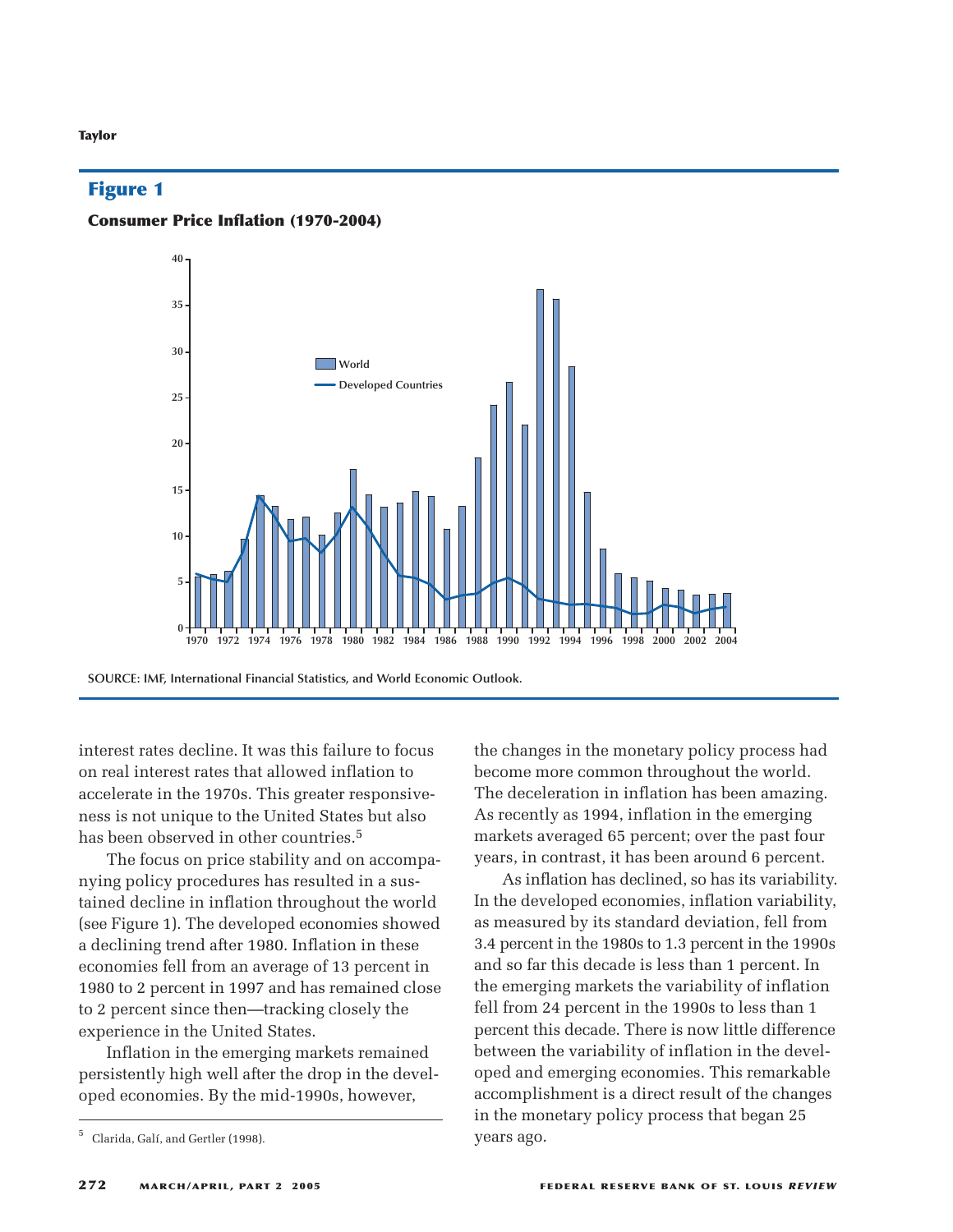#### **Taylor**

## **Figure 1**

#### **Consumer Price Inflation (1970-2004)**



**SOURCE: IMF, International Financial Statistics, and World Economic Outlook.**

interest rates decline. It was this failure to focus on real interest rates that allowed inflation to accelerate in the 1970s. This greater responsiveness is not unique to the United States but also has been observed in other countries.<sup>5</sup>

The focus on price stability and on accompanying policy procedures has resulted in a sustained decline in inflation throughout the world (see Figure 1). The developed economies showed a declining trend after 1980. Inflation in these economies fell from an average of 13 percent in 1980 to 2 percent in 1997 and has remained close to 2 percent since then—tracking closely the experience in the United States.

Inflation in the emerging markets remained persistently high well after the drop in the developed economies. By the mid-1990s, however,

the changes in the monetary policy process had become more common throughout the world. The deceleration in inflation has been amazing. As recently as 1994, inflation in the emerging markets averaged 65 percent; over the past four years, in contrast, it has been around 6 percent.

As inflation has declined, so has its variability. In the developed economies, inflation variability, as measured by its standard deviation, fell from 3.4 percent in the 1980s to 1.3 percent in the 1990s and so far this decade is less than 1 percent. In the emerging markets the variability of inflation fell from 24 percent in the 1990s to less than 1 percent this decade. There is now little difference between the variability of inflation in the developed and emerging economies. This remarkable accomplishment is a direct result of the changes in the monetary policy process that began 25 years ago.

<sup>5</sup> Clarida, Galí, and Gertler (1998).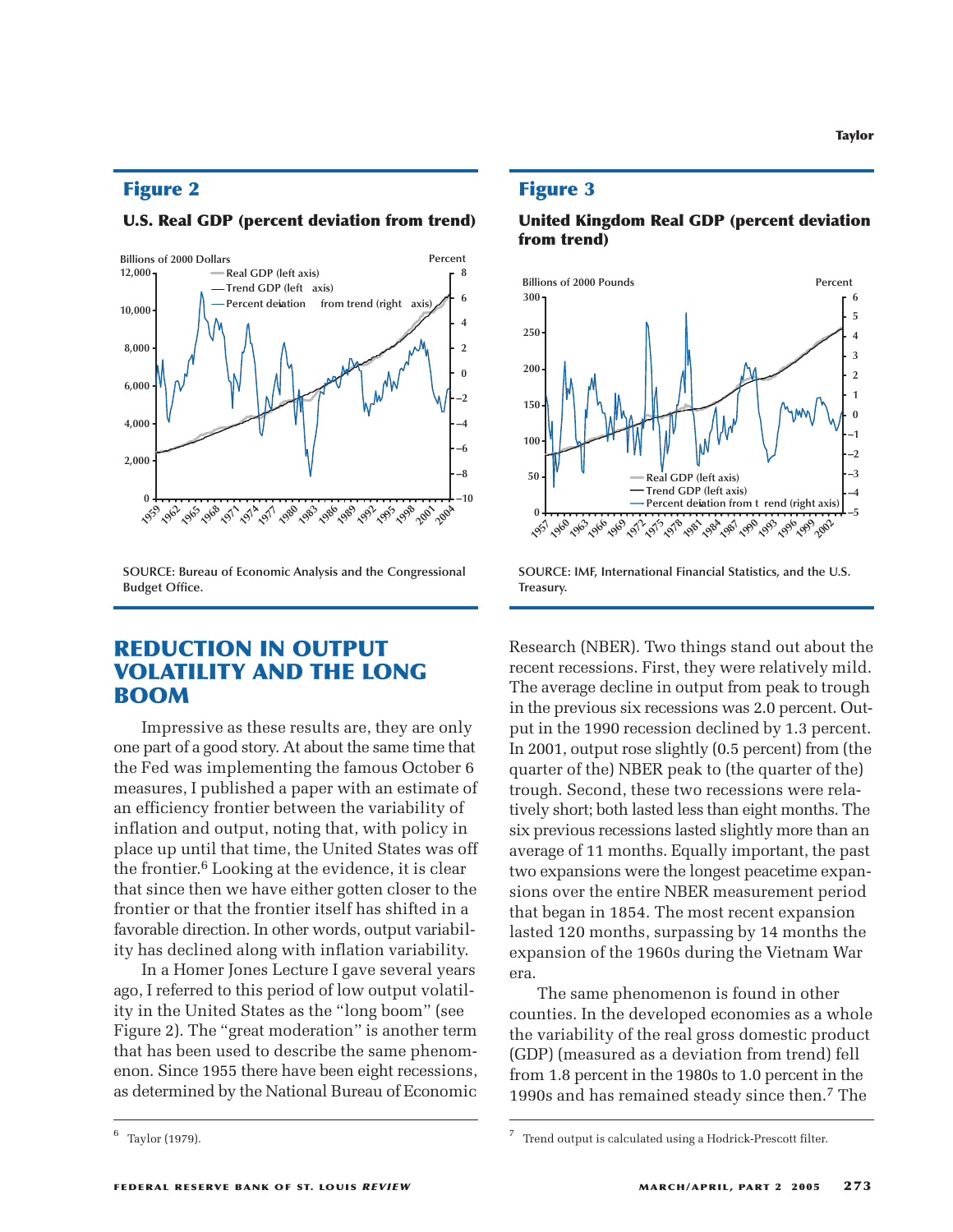## **Figure 2**

#### **U.S. Real GDP (percent deviation from trend)**



**SOURCE: Bureau of Economic Analysis and the Congressional Budget Office.**

# **REDUCTION IN OUTPUT VOLATILITY AND THE LONG BOOM**

Impressive as these results are, they are only one part of a good story. At about the same time that the Fed was implementing the famous October 6 measures, I published a paper with an estimate of an efficiency frontier between the variability of inflation and output, noting that, with policy in place up until that time, the United States was off the frontier.6 Looking at the evidence, it is clear that since then we have either gotten closer to the frontier or that the frontier itself has shifted in a favorable direction. In other words, output variability has declined along with inflation variability.

In a Homer Jones Lecture I gave several years ago, I referred to this period of low output volatility in the United States as the "long boom" (see Figure 2). The "great moderation" is another term that has been used to describe the same phenomenon. Since 1955 there have been eight recessions, as determined by the National Bureau of Economic

#### **Figure 3**





**SOURCE: IMF, International Financial Statistics, and the U.S. Treasury.**

Research (NBER). Two things stand out about the recent recessions. First, they were relatively mild. The average decline in output from peak to trough in the previous six recessions was 2.0 percent. Output in the 1990 recession declined by 1.3 percent. In 2001, output rose slightly (0.5 percent) from (the quarter of the) NBER peak to (the quarter of the) trough. Second, these two recessions were relatively short; both lasted less than eight months. The six previous recessions lasted slightly more than an average of 11 months. Equally important, the past two expansions were the longest peacetime expansions over the entire NBER measurement period that began in 1854. The most recent expansion lasted 120 months, surpassing by 14 months the expansion of the 1960s during the Vietnam War era.

The same phenomenon is found in other counties. In the developed economies as a whole the variability of the real gross domestic product (GDP) (measured as a deviation from trend) fell from 1.8 percent in the 1980s to 1.0 percent in the 1990s and has remained steady since then.7 The

 $^{6}$  Taylor (1979).  $^{7}$  Trend output is calculated using a Hodrick-Prescott filter.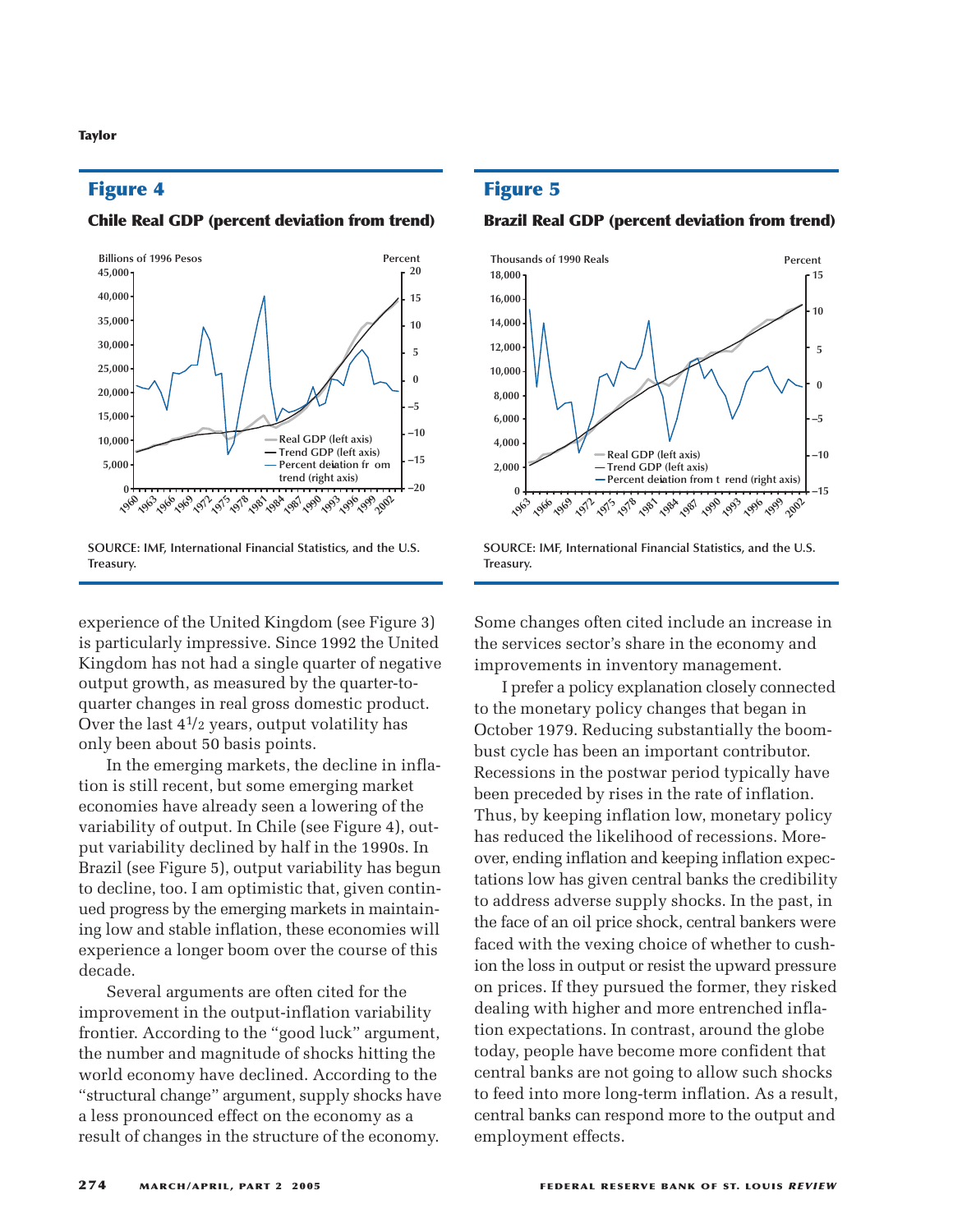## **Figure 4**

#### **Chile Real GDP (percent deviation from trend)**



**SOURCE: IMF, International Financial Statistics, and the U.S. Treasury.**

experience of the United Kingdom (see Figure 3) is particularly impressive. Since 1992 the United Kingdom has not had a single quarter of negative output growth, as measured by the quarter-toquarter changes in real gross domestic product. Over the last  $4^{1/2}$  years, output volatility has only been about 50 basis points.

In the emerging markets, the decline in inflation is still recent, but some emerging market economies have already seen a lowering of the variability of output. In Chile (see Figure 4), output variability declined by half in the 1990s. In Brazil (see Figure 5), output variability has begun to decline, too. I am optimistic that, given continued progress by the emerging markets in maintaining low and stable inflation, these economies will experience a longer boom over the course of this decade.

Several arguments are often cited for the improvement in the output-inflation variability frontier. According to the "good luck" argument, the number and magnitude of shocks hitting the world economy have declined. According to the "structural change" argument, supply shocks have a less pronounced effect on the economy as a result of changes in the structure of the economy.

## **Figure 5**

#### **Brazil Real GDP (percent deviation from trend)**



**SOURCE: IMF, International Financial Statistics, and the U.S. Treasury.**

Some changes often cited include an increase in the services sector's share in the economy and improvements in inventory management.

I prefer a policy explanation closely connected to the monetary policy changes that began in October 1979. Reducing substantially the boombust cycle has been an important contributor. Recessions in the postwar period typically have been preceded by rises in the rate of inflation. Thus, by keeping inflation low, monetary policy has reduced the likelihood of recessions. Moreover, ending inflation and keeping inflation expectations low has given central banks the credibility to address adverse supply shocks. In the past, in the face of an oil price shock, central bankers were faced with the vexing choice of whether to cushion the loss in output or resist the upward pressure on prices. If they pursued the former, they risked dealing with higher and more entrenched inflation expectations. In contrast, around the globe today, people have become more confident that central banks are not going to allow such shocks to feed into more long-term inflation. As a result, central banks can respond more to the output and employment effects.